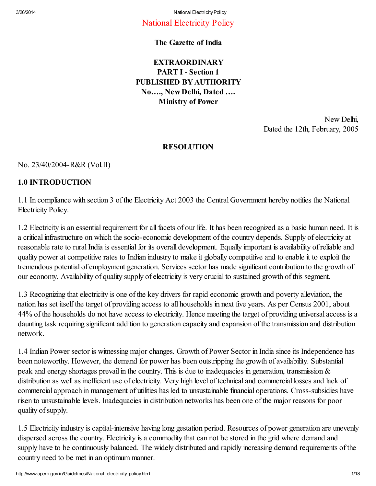## National Electricity Policy

## The Gazette of India

## EXTRAORDINARY PART I - Section 1 PUBLISHED BY AUTHORITY No…., New Delhi, Dated …. Ministry of Power

New Delhi, Dated the 12th, February, 2005

## RESOLUTION

# No. 23/40/2004-R&R (Vol.II)

## 1.0 INTRODUCTION

1.1 In compliance with section 3 of the Electricity Act 2003 the Central Government hereby notifies the National Electricity Policy.

1.2 Electricity is an essential requirement for all facets of our life. It has been recognized as a basic human need. It is a critical infrastructure on which the socio-economic development of the country depends. Supply of electricity at reasonable rate to rural India is essential for its overall development. Equally important is availability of reliable and quality power at competitive rates to Indian industry to make it globally competitive and to enable it to exploit the tremendous potential of employment generation. Services sector has made significant contribution to the growth of our economy. Availability of quality supply of electricity is very crucial to sustained growth of this segment.

1.3 Recognizing that electricity is one of the key drivers for rapid economic growth and poverty alleviation, the nation has set itself the target of providing access to all households in next five years. As per Census 2001, about 44% of the households do not have access to electricity. Hence meeting the target of providing universal access is a daunting task requiring significant addition to generation capacity and expansion of the transmission and distribution network.

1.4 Indian Power sector is witnessing major changes. Growth of Power Sector in India since its Independence has been noteworthy. However, the demand for power has been outstripping the growth of availability. Substantial peak and energy shortages prevail in the country. This is due to inadequacies in generation, transmission & distribution as well as inefficient use of electricity. Very high level of technical and commercial losses and lack of commercial approach in management of utilities has led to unsustainable financial operations. Cross-subsidies have risen to unsustainable levels. Inadequacies in distribution networks has been one of the major reasons for poor quality of supply.

1.5 Electricity industry is capital-intensive having long gestation period. Resources of power generation are unevenly dispersed across the country. Electricity is a commodity that can not be stored in the grid where demand and supply have to be continuously balanced. The widely distributed and rapidly increasing demand requirements of the country need to be met in an optimum manner.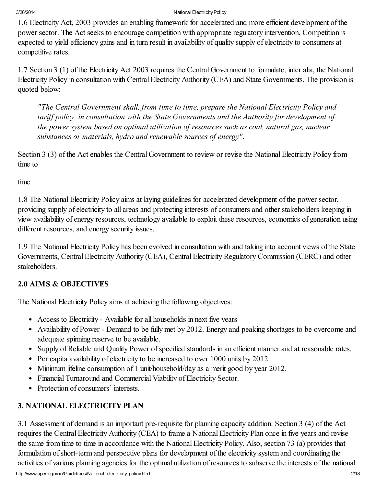1.6 Electricity Act, 2003 provides an enabling framework for accelerated and more efficient development of the power sector. The Act seeks to encourage competition with appropriate regulatory intervention. Competition is expected to yield efficiency gains and in turn result in availability of quality supply of electricity to consumers at competitive rates.

1.7 Section 3 (1) of the Electricity Act 2003 requires the Central Government to formulate, inter alia, the National Electricity Policy in consultation with Central Electricity Authority (CEA) and State Governments. The provision is quoted below:

*"The Central Government shall, from time to time, prepare the National Electricity Policy and tariff policy, in consultation with the State Governments and the Authority for development of the power system based on optimal utilization of resources such as coal, natural gas, nuclear substances or materials, hydro and renewable sources of energy".*

Section 3 (3) of the Act enables the Central Government to review or revise the National Electricity Policy from time to

time.

1.8 The National Electricity Policy aims at laying guidelines for accelerated development of the power sector, providing supply of electricity to all areas and protecting interests of consumers and other stakeholders keeping in view availability of energy resources, technology available to exploit these resources, economics of generation using different resources, and energy security issues.

1.9 The National Electricity Policy has been evolved in consultation with and taking into account views of the State Governments, Central Electricity Authority (CEA), Central Electricity Regulatory Commission (CERC) and other stakeholders.

# 2.0 AIMS & OBJECTIVES

The National Electricity Policy aims at achieving the following objectives:

- Access to Electricity Available for all households in next five years
- Availability of Power Demand to be fully met by 2012. Energy and peaking shortages to be overcome and adequate spinning reserve to be available.
- Supply of Reliable and Quality Power of specified standards in an efficient manner and at reasonable rates.
- Per capita availability of electricity to be increased to over 1000 units by 2012.
- Minimum lifeline consumption of 1 unit/household/day as a merit good by year 2012.
- Financial Turnaround and Commercial Viability of Electricity Sector.
- Protection of consumers' interests.

# 3. NATIONAL ELECTRICITY PLAN

3.1 Assessment of demand is an important pre-requisite for planning capacity addition. Section 3 (4) of the Act requires the Central Electricity Authority (CEA) to frame a National Electricity Plan once in five years and revise the same from time to time in accordance with the National Electricity Policy. Also, section 73 (a) provides that formulation of short-term and perspective plans for development of the electricity system and coordinating the activities of various planning agencies for the optimal utilization of resources to subserve the interests of the national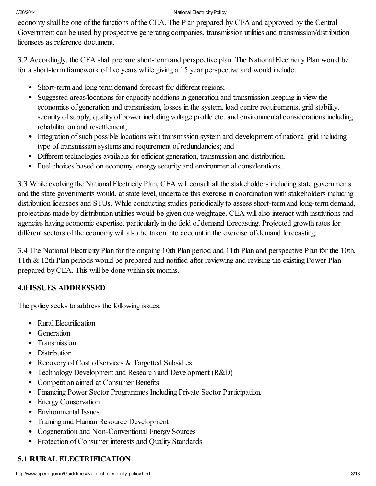economy shall be one of the functions of the CEA. The Plan prepared by CEA and approved by the Central Government can be used by prospective generating companies, transmission utilities and transmission/distribution licensees as reference document.

3.2 Accordingly, the CEA shall prepare short-term and perspective plan. The National Electricity Plan would be for a short-term framework of five years while giving a 15 year perspective and would include:

- Short-term and long term demand forecast for different regions;
- Suggested areas/locations for capacity additions in generation and transmission keeping in view the economics of generation and transmission, losses in the system, load centre requirements, grid stability, security of supply, quality of power including voltage profile etc. and environmental considerations including rehabilitation and resettlement;
- Integration of such possible locations with transmission system and development of national grid including type of transmission systems and requirement of redundancies; and
- Different technologies available for efficient generation, transmission and distribution.
- Fuel choices based on economy, energy security and environmental considerations.

3.3 While evolving the National Electricity Plan, CEA will consult all the stakeholders including state governments and the state governments would, at state level, undertake this exercise in coordination with stakeholders including distribution licensees and STUs. While conducting studies periodically to assess short-term and long-term demand, projections made by distribution utilities would be given due weightage. CEA will also interact with institutions and agencies having economic expertise, particularly in the field of demand forecasting. Projected growth rates for different sectors of the economy will also be taken into account in the exercise of demand forecasting.

3.4 The National Electricity Plan for the ongoing 10th Plan period and 11th Plan and perspective Plan for the 10th, 11th & 12th Plan periods would be prepared and notified after reviewing and revising the existing Power Plan prepared by CEA. This will be done within six months.

# 4.0 ISSUES ADDRESSED

The policy seeks to address the following issues:

- Rural Electrification
- Generation
- Transmission
- Distribution
- Recovery of Cost of services  $&$  Targetted Subsidies.
- Technology Development and Research and Development (R&D)
- Competition aimed at Consumer Benefits
- Financing Power Sector Programmes Including Private Sector Participation.
- Energy Conservation
- Environmental Issues
- Training and Human Resource Development
- Cogeneration and Non-Conventional Energy Sources
- Protection of Consumer interests and Quality Standards

# 5.1 RURAL ELECTRIFICATION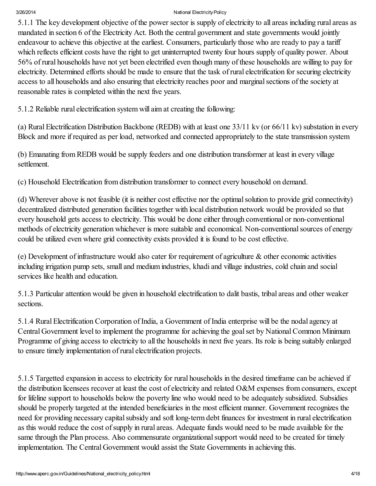5.1.1 The key development objective of the power sector is supply of electricity to all areas including rural areas as mandated in section 6 of the Electricity Act. Both the central government and state governments would jointly endeavour to achieve this objective at the earliest. Consumers, particularly those who are ready to pay a tariff which reflects efficient costs have the right to get uninterrupted twenty four hours supply of quality power. About 56% of rural households have not yet been electrified even though many of these households are willing to pay for electricity. Determined efforts should be made to ensure that the task of rural electrification for securing electricity access to all households and also ensuring that electricity reaches poor and marginal sections of the society at reasonable rates is completed within the next five years.

5.1.2 Reliable rural electrification system will aim at creating the following:

(a) Rural Electrification Distribution Backbone (REDB) with at least one 33/11 kv (or 66/11 kv) substation in every Block and more if required as per load, networked and connected appropriately to the state transmission system

(b) Emanating from REDB would be supply feeders and one distribution transformer at least in every village settlement.

(c) Household Electrification from distribution transformer to connect every household on demand.

(d) Wherever above is not feasible (it is neither cost effective nor the optimalsolution to provide grid connectivity) decentralized distributed generation facilities together with local distribution network would be provided so that every household gets access to electricity. This would be done either through conventional or non-conventional methods of electricity generation whichever is more suitable and economical. Non-conventional sources of energy could be utilized even where grid connectivity exists provided it is found to be cost effective.

(e) Development of infrastructure would also cater for requirement of agriculture & other economic activities including irrigation pump sets, small and medium industries, khadi and village industries, cold chain and social services like health and education.

5.1.3 Particular attention would be given in household electrification to dalit bastis, tribal areas and other weaker sections.

5.1.4 Rural Electrification Corporation of India, a Government of India enterprise will be the nodal agency at Central Government level to implement the programme for achieving the goalset by NationalCommon Minimum Programme of giving access to electricity to all the households in next five years. Its role is being suitably enlarged to ensure timely implementation of rural electrification projects.

5.1.5 Targetted expansion in access to electricity for rural households in the desired timeframe can be achieved if the distribution licensees recover at least the cost of electricity and related O&M expenses from consumers, except for lifeline support to households below the poverty line who would need to be adequately subsidized. Subsidies should be properly targeted at the intended beneficiaries in the most efficient manner. Government recognizes the need for providing necessary capital subsidy and soft long-term debt finances for investment in rural electrification as this would reduce the cost of supply in rural areas. Adequate funds would need to be made available for the same through the Plan process. Also commensurate organizational support would need to be created for timely implementation. The Central Government would assist the State Governments in achieving this.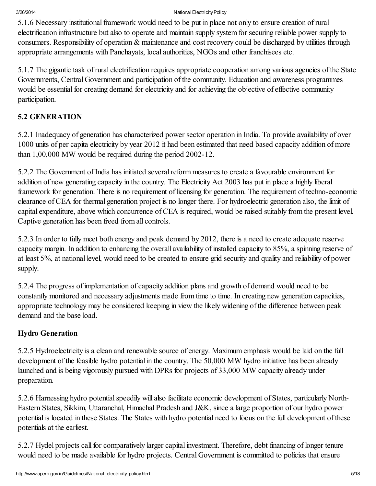5.1.6 Necessary institutional framework would need to be put in place not only to ensure creation of rural electrification infrastructure but also to operate and maintain supply system for securing reliable power supply to consumers. Responsibility of operation & maintenance and cost recovery could be discharged by utilities through appropriate arrangements with Panchayats, local authorities, NGOs and other franchisees etc.

5.1.7 The gigantic task of rural electrification requires appropriate cooperation among various agencies of the State Governments, Central Government and participation of the community. Education and awareness programmes would be essential for creating demand for electricity and for achieving the objective of effective community participation.

# 5.2 GENERATION

5.2.1 Inadequacy of generation has characterized power sector operation in India. To provide availability of over 1000 units of per capita electricity by year 2012 it had been estimated that need based capacity addition of more than 1,00,000 MW would be required during the period 2002-12.

5.2.2 The Government of India has initiated several reform measures to create a favourable environment for addition of new generating capacity in the country. The Electricity Act 2003 has put in place a highly liberal framework for generation. There is no requirement of licensing for generation. The requirement of techno-economic clearance of CEA for thermal generation project is no longer there. For hydroelectric generation also, the limit of capital expenditure, above which concurrence of CEA is required, would be raised suitably from the present level. Captive generation has been freed from all controls.

5.2.3 In order to fully meet both energy and peak demand by 2012, there is a need to create adequate reserve capacity margin. In addition to enhancing the overall availability of installed capacity to 85%, a spinning reserve of at least 5%, at national level, would need to be created to ensure grid security and quality and reliability of power supply.

5.2.4 The progress of implementation of capacity addition plans and growth of demand would need to be constantly monitored and necessary adjustments made from time to time. In creating new generation capacities, appropriate technology may be considered keeping in view the likely widening of the difference between peak demand and the base load.

# Hydro Generation

5.2.5 Hydroelectricity is a clean and renewable source of energy. Maximum emphasis would be laid on the full development of the feasible hydro potential in the country. The 50,000 MW hydro initiative has been already launched and is being vigorously pursued with DPRs for projects of 33,000 MW capacity already under preparation.

5.2.6 Harnessing hydro potential speedily will also facilitate economic development of States, particularly North-Eastern States, Sikkim, Uttaranchal, Himachal Pradesh and J&K, since a large proportion of our hydro power potential is located in these States. The States with hydro potential need to focus on the full development of these potentials at the earliest.

5.2.7 Hydel projects call for comparatively larger capital investment. Therefore, debt financing of longer tenure would need to be made available for hydro projects. Central Government is committed to policies that ensure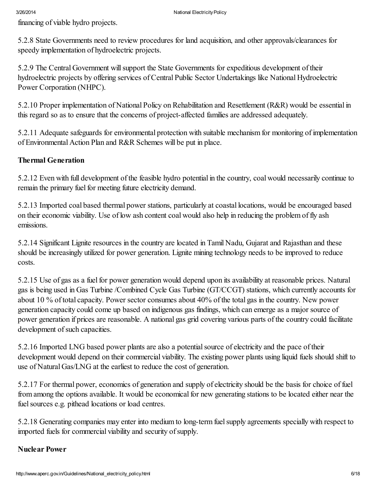financing of viable hydro projects.

5.2.8 State Governments need to review procedures for land acquisition, and other approvals/clearances for speedy implementation of hydroelectric projects.

5.2.9 The Central Government will support the State Governments for expeditious development of their hydroelectric projects by offering services of Central Public Sector Undertakings like National Hydroelectric Power Corporation (NHPC).

5.2.10 Proper implementation of National Policy on Rehabilitation and Resettlement (R&R) would be essential in this regard so as to ensure that the concerns of project-affected families are addressed adequately.

5.2.11 Adequate safeguards for environmental protection with suitable mechanism for monitoring of implementation of Environmental Action Plan and R&R Schemes will be put in place.

## Thermal Generation

5.2.12 Even with full development of the feasible hydro potential in the country, coal would necessarily continue to remain the primary fuel for meeting future electricity demand.

5.2.13 Imported coal based thermal power stations, particularly at coastal locations, would be encouraged based on their economic viability. Use of low ash content coal would also help in reducing the problem of fly ash emissions.

5.2.14 Significant Lignite resources in the country are located in Tamil Nadu, Gujarat and Rajasthan and these should be increasingly utilized for power generation. Lignite mining technology needs to be improved to reduce costs.

5.2.15 Use of gas as a fuel for power generation would depend upon its availability at reasonable prices. Natural gas is being used in Gas Turbine /Combined Cycle Gas Turbine (GT/CCGT) stations, which currently accounts for about 10 % of total capacity. Power sector consumes about 40% of the total gas in the country. New power generation capacity could come up based on indigenous gas findings, which can emerge as a major source of power generation if prices are reasonable. A national gas grid covering various parts of the country could facilitate development of such capacities.

5.2.16 Imported LNG based power plants are also a potentialsource of electricity and the pace of their development would depend on their commercial viability. The existing power plants using liquid fuels should shift to use of Natural Gas/LNG at the earliest to reduce the cost of generation.

5.2.17 For thermal power, economics of generation and supply of electricity should be the basis for choice of fuel from among the options available. It would be economical for new generating stations to be located either near the fuel sources e.g. pithead locations or load centres.

5.2.18 Generating companies may enter into medium to long-term fuelsupply agreements specially with respect to imported fuels for commercial viability and security of supply.

## Nuclear Power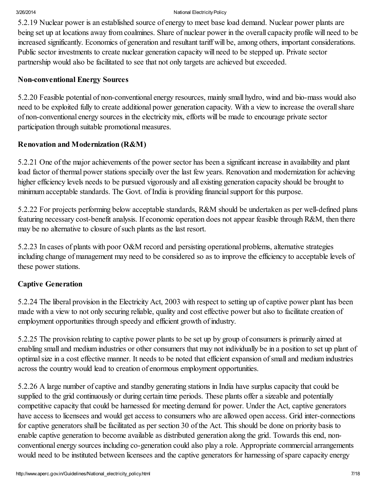5.2.19 Nuclear power is an established source of energy to meet base load demand. Nuclear power plants are being set up at locations away from coalmines. Share of nuclear power in the overall capacity profile will need to be increased significantly. Economics of generation and resultant tariff will be, among others, important considerations. Public sector investments to create nuclear generation capacity will need to be stepped up. Private sector partnership would also be facilitated to see that not only targets are achieved but exceeded.

## Non-conventional Energy Sources

5.2.20 Feasible potential of non-conventional energy resources, mainly small hydro, wind and bio-mass would also need to be exploited fully to create additional power generation capacity. With a view to increase the overallshare of non-conventional energy sources in the electricity mix, efforts will be made to encourage private sector participation through suitable promotional measures.

## Renovation and Modernization (R&M)

5.2.21 One of the major achievements of the power sector has been a significant increase in availability and plant load factor of thermal power stations specially over the last few years. Renovation and modernization for achieving higher efficiency levels needs to be pursued vigorously and all existing generation capacity should be brought to minimum acceptable standards. The Govt. of India is providing financial support for this purpose.

5.2.22 For projects performing below acceptable standards, R&M should be undertaken as per well-defined plans featuring necessary cost-benefit analysis. If economic operation does not appear feasible through R&M, then there may be no alternative to closure of such plants as the last resort.

5.2.23 In cases of plants with poor O&M record and persisting operational problems, alternative strategies including change of management may need to be considered so as to improve the efficiency to acceptable levels of these power stations.

## Captive Generation

5.2.24 The liberal provision in the Electricity Act, 2003 with respect to setting up of captive power plant has been made with a view to not only securing reliable, quality and cost effective power but also to facilitate creation of employment opportunities through speedy and efficient growth of industry.

5.2.25 The provision relating to captive power plants to be set up by group of consumers is primarily aimed at enabling small and medium industries or other consumers that may not individually be in a position to set up plant of optimalsize in a cost effective manner. It needs to be noted that efficient expansion ofsmall and medium industries across the country would lead to creation of enormous employment opportunities.

5.2.26 A large number of captive and standby generating stations in India have surplus capacity that could be supplied to the grid continuously or during certain time periods. These plants offer a sizeable and potentially competitive capacity that could be harnessed for meeting demand for power. Under the Act, captive generators have access to licensees and would get access to consumers who are allowed open access. Grid inter-connections for captive generators shall be facilitated as per section 30 of the Act. This should be done on priority basis to enable captive generation to become available as distributed generation along the grid. Towards this end, nonconventional energy sources including co-generation could also play a role. Appropriate commercial arrangements would need to be instituted between licensees and the captive generators for harnessing of spare capacity energy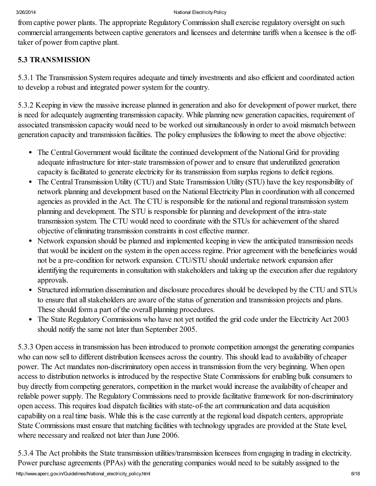from captive power plants. The appropriate Regulatory Commission shall exercise regulatory oversight on such commercial arrangements between captive generators and licensees and determine tariffs when a licensee is the offtaker of power from captive plant.

# 5.3 TRANSMISSION

5.3.1 The Transmission System requires adequate and timely investments and also efficient and coordinated action to develop a robust and integrated power system for the country.

5.3.2 Keeping in view the massive increase planned in generation and also for development of power market, there is need for adequately augmenting transmission capacity. While planning new generation capacities, requirement of associated transmission capacity would need to be worked out simultaneously in order to avoid mismatch between generation capacity and transmission facilities. The policy emphasizes the following to meet the above objective:

- The Central Government would facilitate the continued development of the National Grid for providing adequate infrastructure for inter-state transmission of power and to ensure that underutilized generation capacity is facilitated to generate electricity for its transmission from surplus regions to deficit regions.
- The Central Transmission Utility (CTU) and State Transmission Utility (STU) have the key responsibility of network planning and development based on the National Electricity Plan in coordination with all concerned agencies as provided in the Act. The CTU is responsible for the national and regional transmission system planning and development. The STU is responsible for planning and development of the intra-state transmission system. The CTU would need to coordinate with the STUs for achievement of the shared objective of eliminating transmission constraints in cost effective manner.
- Network expansion should be planned and implemented keeping in view the anticipated transmission needs that would be incident on the system in the open access regime. Prior agreement with the beneficiaries would not be a pre-condition for network expansion. CTU/STU should undertake network expansion after identifying the requirements in consultation with stakeholders and taking up the execution after due regulatory approvals.
- Structured information dissemination and disclosure procedures should be developed by the CTU and STUs to ensure that allstakeholders are aware of the status of generation and transmission projects and plans. These should form a part of the overall planning procedures.
- The State Regulatory Commissions who have not yet notified the grid code under the Electricity Act 2003  $\bullet$ should notify the same not later than September 2005.

5.3.3 Open access in transmission has been introduced to promote competition amongst the generating companies who can now sell to different distribution licensees across the country. This should lead to availability of cheaper power. The Act mandates non-discriminatory open access in transmission from the very beginning. When open access to distribution networks is introduced by the respective State Commissions for enabling bulk consumers to buy directly from competing generators, competition in the market would increase the availability of cheaper and reliable power supply. The Regulatory Commissions need to provide facilitative framework for non-discriminatory open access. This requires load dispatch facilities with state-of-the art communication and data acquisition capability on a real time basis. While this is the case currently at the regional load dispatch centers, appropriate State Commissions must ensure that matching facilities with technology upgrades are provided at the State level, where necessary and realized not later than June 2006.

5.3.4 The Act prohibits the State transmission utilities/transmission licensees from engaging in trading in electricity. Power purchase agreements (PPAs) with the generating companies would need to be suitably assigned to the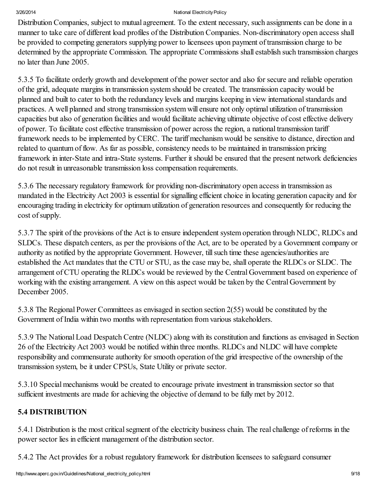Distribution Companies, subject to mutual agreement. To the extent necessary, such assignments can be done in a manner to take care of different load profiles of the Distribution Companies. Non-discriminatory open access shall be provided to competing generators supplying power to licensees upon payment of transmission charge to be determined by the appropriate Commission. The appropriate Commissions shall establish such transmission charges no later than June 2005.

5.3.5 To facilitate orderly growth and development of the power sector and also for secure and reliable operation of the grid, adequate margins in transmission system should be created. The transmission capacity would be planned and built to cater to both the redundancy levels and margins keeping in view international standards and practices. A well planned and strong transmission system will ensure not only optimal utilization of transmission capacities but also of generation facilities and would facilitate achieving ultimate objective of cost effective delivery of power. To facilitate cost effective transmission of power across the region, a national transmission tariff framework needs to be implemented by CERC. The tariff mechanism would be sensitive to distance, direction and related to quantum of flow. As far as possible, consistency needs to be maintained in transmission pricing framework in inter-State and intra-State systems. Further it should be ensured that the present network deficiencies do not result in unreasonable transmission loss compensation requirements.

5.3.6 The necessary regulatory framework for providing non-discriminatory open access in transmission as mandated in the Electricity Act 2003 is essential for signalling efficient choice in locating generation capacity and for encouraging trading in electricity for optimum utilization of generation resources and consequently for reducing the cost of supply.

5.3.7 The spirit of the provisions of the Act is to ensure independent system operation through NLDC, RLDCs and SLDCs. These dispatch centers, as per the provisions of the Act, are to be operated by a Government company or authority as notified by the appropriate Government. However, till such time these agencies/authorities are established the Act mandates that the CTU or STU, as the case may be, shall operate the RLDCs or SLDC. The arrangement of CTU operating the RLDCs would be reviewed by the Central Government based on experience of working with the existing arrangement. A view on this aspect would be taken by the Central Government by December 2005.

5.3.8 The Regional Power Committees as envisaged in section section 2(55) would be constituted by the Government of India within two months with representation from various stakeholders.

5.3.9 The National Load Despatch Centre (NLDC) along with its constitution and functions as envisaged in Section 26 of the Electricity Act 2003 would be notified within three months. RLDCs and NLDC will have complete responsibility and commensurate authority for smooth operation of the grid irrespective of the ownership of the transmission system, be it under CPSUs, State Utility or private sector.

5.3.10 Special mechanisms would be created to encourage private investment in transmission sector so that sufficient investments are made for achieving the objective of demand to be fully met by 2012.

# 5.4 DISTRIBUTION

5.4.1 Distribution is the most critical segment of the electricity business chain. The real challenge of reforms in the power sector lies in efficient management of the distribution sector.

5.4.2 The Act provides for a robust regulatory framework for distribution licensees to safeguard consumer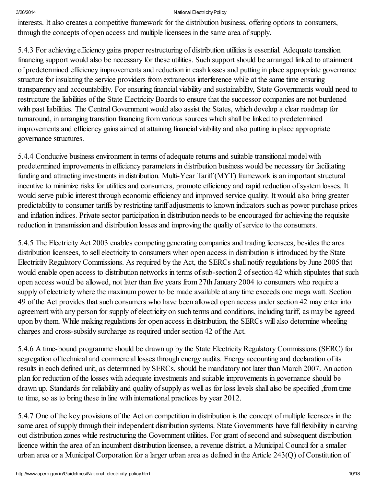interests. It also creates a competitive framework for the distribution business, offering options to consumers, through the concepts of open access and multiple licensees in the same area ofsupply.

5.4.3 For achieving efficiency gains proper restructuring of distribution utilities is essential. Adequate transition financing support would also be necessary for these utilities. Such support should be arranged linked to attainment of predetermined efficiency improvements and reduction in cash losses and putting in place appropriate governance structure for insulating the service providers from extraneous interference while at the same time ensuring transparency and accountability. For ensuring financial viability and sustainability, State Governments would need to restructure the liabilities of the State Electricity Boards to ensure that the successor companies are not burdened with past liabilities. The Central Government would also assist the States, which develop a clear roadmap for turnaround, in arranging transition financing from various sources which shall be linked to predetermined improvements and efficiency gains aimed at attaining financial viability and also putting in place appropriate governance structures.

5.4.4 Conducive business environment in terms of adequate returns and suitable transitional model with predetermined improvements in efficiency parameters in distribution business would be necessary for facilitating funding and attracting investments in distribution. Multi-Year Tariff (MYT) framework is an important structural incentive to minimize risks for utilities and consumers, promote efficiency and rapid reduction ofsystem losses. It would serve public interest through economic efficiency and improved service quality. It would also bring greater predictability to consumer tariffs by restricting tariff adjustments to known indicators such as power purchase prices and inflation indices. Private sector participation in distribution needs to be encouraged for achieving the requisite reduction in transmission and distribution losses and improving the quality of service to the consumers.

5.4.5 The Electricity Act 2003 enables competing generating companies and trading licensees, besides the area distribution licensees, to sell electricity to consumers when open access in distribution is introduced by the State Electricity Regulatory Commissions. As required by the Act, the SERCs shall notify regulations by June 2005 that would enable open access to distribution networks in terms of sub-section 2 of section 42 which stipulates that such open access would be allowed, not later than five years from 27th January 2004 to consumers who require a supply of electricity where the maximum power to be made available at any time exceeds one mega watt. Section 49 of the Act provides that such consumers who have been allowed open access under section 42 may enter into agreement with any person for supply of electricity on such terms and conditions, including tariff, as may be agreed upon by them. While making regulations for open access in distribution, the SERCs will also determine wheeling charges and cross-subsidy surcharge as required under section 42 of the Act.

5.4.6 A time-bound programme should be drawn up by the State Electricity Regulatory Commissions (SERC) for segregation of technical and commercial losses through energy audits. Energy accounting and declaration of its results in each defined unit, as determined by SERCs, should be mandatory not later than March 2007. An action plan for reduction of the losses with adequate investments and suitable improvements in governance should be drawn up. Standards for reliability and quality of supply as well as for loss levels shall also be specified, from time to time, so as to bring these in line with international practices by year 2012.

5.4.7 One of the key provisions of the Act on competition in distribution is the concept of multiple licensees in the same area of supply through their independent distribution systems. State Governments have full flexibility in carving out distribution zones while restructuring the Government utilities. For grant of second and subsequent distribution licence within the area of an incumbent distribution licensee, a revenue district, a Municipal Council for a smaller urban area or a MunicipalCorporation for a larger urban area as defined in the Article 243(Q) of Constitution of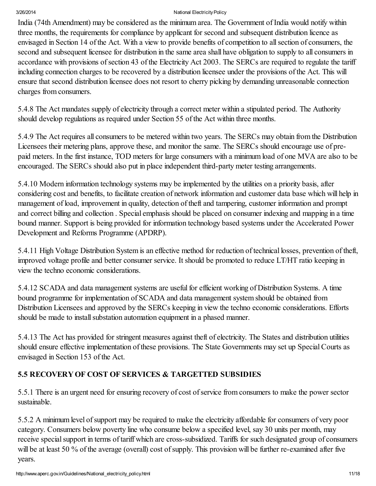India (74th Amendment) may be considered as the minimum area. The Government of India would notify within three months, the requirements for compliance by applicant for second and subsequent distribution licence as envisaged in Section 14 of the Act. With a view to provide benefits of competition to allsection of consumers, the second and subsequent licensee for distribution in the same area shall have obligation to supply to all consumers in accordance with provisions of section 43 of the Electricity Act 2003. The SERCs are required to regulate the tariff including connection charges to be recovered by a distribution licensee under the provisions of the Act. This will ensure that second distribution licensee does not resort to cherry picking by demanding unreasonable connection charges from consumers.

5.4.8 The Act mandates supply of electricity through a correct meter within a stipulated period. The Authority should develop regulations as required under Section 55 of the Act within three months.

5.4.9 The Act requires all consumers to be metered within two years. The SERCs may obtain from the Distribution Licensees their metering plans, approve these, and monitor the same. The SERCs should encourage use of prepaid meters. In the first instance, TOD meters for large consumers with a minimum load of one MVA are also to be encouraged. The SERCs should also put in place independent third-party meter testing arrangements.

5.4.10 Modern information technology systems may be implemented by the utilities on a priority basis, after considering cost and benefits, to facilitate creation of network information and customer data base which will help in management of load, improvement in quality, detection of theft and tampering, customer information and prompt and correct billing and collection . Special emphasis should be placed on consumer indexing and mapping in a time bound manner. Support is being provided for information technology based systems under the Accelerated Power Development and Reforms Programme (APDRP).

5.4.11 High Voltage Distribution System is an effective method for reduction of technical losses, prevention of theft, improved voltage profile and better consumer service. It should be promoted to reduce LT/HT ratio keeping in view the techno economic considerations.

5.4.12 SCADA and data management systems are useful for efficient working of Distribution Systems. A time bound programme for implementation of SCADA and data management system should be obtained from Distribution Licensees and approved by the SERCs keeping in view the techno economic considerations. Efforts should be made to install substation automation equipment in a phased manner.

5.4.13 The Act has provided for stringent measures against theft of electricity. The States and distribution utilities should ensure effective implementation of these provisions. The State Governments may set up Special Courts as envisaged in Section 153 of the Act.

# 5.5 RECOVERYOF COST OF SERVICES & TARGETTED SUBSIDIES

5.5.1 There is an urgent need for ensuring recovery of cost of service from consumers to make the power sector sustainable.

5.5.2 A minimum level ofsupport may be required to make the electricity affordable for consumers of very poor category. Consumers below poverty line who consume below a specified level, say 30 units per month, may receive special support in terms of tariff which are cross-subsidized. Tariffs for such designated group of consumers will be at least 50 % of the average (overall) cost of supply. This provision will be further re-examined after five years.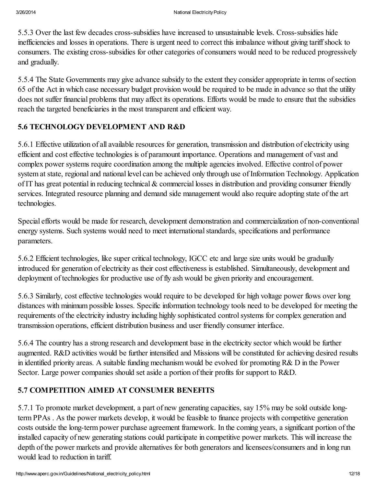5.5.3 Over the last few decades cross-subsidies have increased to unsustainable levels. Cross-subsidies hide inefficiencies and losses in operations. There is urgent need to correct this imbalance without giving tariffshock to consumers. The existing cross-subsidies for other categories of consumers would need to be reduced progressively and gradually.

5.5.4 The State Governments may give advance subsidy to the extent they consider appropriate in terms ofsection 65 of the Act in which case necessary budget provision would be required to be made in advance so that the utility does not suffer financial problems that may affect its operations. Efforts would be made to ensure that the subsidies reach the targeted beneficiaries in the most transparent and efficient way.

# 5.6 TECHNOLOGY DEVELOPMENT AND R&D

5.6.1 Effective utilization of all available resources for generation, transmission and distribution of electricity using efficient and cost effective technologies is of paramount importance. Operations and management of vast and complex power systems require coordination among the multiple agencies involved. Effective control of power system at state, regional and national level can be achieved only through use of Information Technology. Application of IT has great potential in reducing technical & commercial losses in distribution and providing consumer friendly services. Integrated resource planning and demand side management would also require adopting state of the art technologies.

Special efforts would be made for research, development demonstration and commercialization of non-conventional energy systems. Such systems would need to meet international standards, specifications and performance parameters.

5.6.2 Efficient technologies, like super critical technology, IGCC etc and large size units would be gradually introduced for generation of electricity as their cost effectiveness is established. Simultaneously, development and deployment of technologies for productive use of fly ash would be given priority and encouragement.

5.6.3 Similarly, cost effective technologies would require to be developed for high voltage power flows over long distances with minimum possible losses. Specific information technology tools need to be developed for meeting the requirements of the electricity industry including highly sophisticated controlsystems for complex generation and transmission operations, efficient distribution business and user friendly consumer interface.

5.6.4 The country has a strong research and development base in the electricity sector which would be further augmented. R&D activities would be further intensified and Missions will be constituted for achieving desired results in identified priority areas. A suitable funding mechanism would be evolved for promoting R& D in the Power Sector. Large power companies should set aside a portion of their profits for support to R&D.

# 5.7 COMPETITION AIMED AT CONSUMER BENEFITS

5.7.1 To promote market development, a part of new generating capacities, say 15% may be sold outside longterm PPAs . As the power markets develop, it would be feasible to finance projects with competitive generation costs outside the long-term power purchase agreement framework. In the coming years, a significant portion of the installed capacity of new generating stations could participate in competitive power markets. This will increase the depth of the power markets and provide alternatives for both generators and licensees/consumers and in long run would lead to reduction in tariff.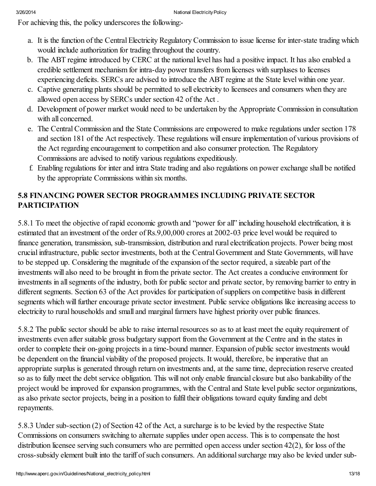For achieving this, the policy underscores the following:-

- a. It is the function of the Central Electricity Regulatory Commission to issue license for inter-state trading which would include authorization for trading throughout the country.
- b. The ABT regime introduced by CERC at the national level has had a positive impact. It has also enabled a credible settlement mechanism for intra-day power transfers from licenses with surpluses to licenses experiencing deficits. SERCs are advised to introduce the ABT regime at the State level within one year.
- c. Captive generating plants should be permitted to sell electricity to licensees and consumers when they are allowed open access by SERCs under section 42 of the Act .
- d. Development of power market would need to be undertaken by the Appropriate Commission in consultation with all concerned.
- e. The CentralCommission and the State Commissions are empowered to make regulations under section 178 and section 181 of the Act respectively. These regulations will ensure implementation of various provisions of the Act regarding encouragement to competition and also consumer protection. The Regulatory Commissions are advised to notify various regulations expeditiously.
- f. Enabling regulations for inter and intra State trading and also regulations on power exchange shall be notified by the appropriate Commissions within six months.

# 5.8 FINANCING POWER SECTOR PROGRAMMES INCLUDING PRIVATE SECTOR PARTICIPATION

5.8.1 To meet the objective of rapid economic growth and "power for all" including household electrification, it is estimated that an investment of the order of Rs.9,00,000 crores at 2002-03 price level would be required to finance generation, transmission, sub-transmission, distribution and rural electrification projects. Power being most crucial infrastructure, public sector investments, both at the Central Government and State Governments, will have to be stepped up. Considering the magnitude of the expansion of the sector required, a sizeable part of the investments will also need to be brought in from the private sector. The Act creates a conducive environment for investments in allsegments of the industry, both for public sector and private sector, by removing barrier to entry in different segments. Section 63 of the Act provides for participation of suppliers on competitive basis in different segments which will further encourage private sector investment. Public service obligations like increasing access to electricity to rural households and small and marginal farmers have highest priority over public finances.

5.8.2 The public sector should be able to raise internalresources so as to at least meet the equity requirement of investments even after suitable gross budgetary support from the Government at the Centre and in the states in order to complete their on-going projects in a time-bound manner. Expansion of public sector investments would be dependent on the financial viability of the proposed projects. It would, therefore, be imperative that an appropriate surplus is generated through return on investments and, at the same time, depreciation reserve created so as to fully meet the debt service obligation. This will not only enable financial closure but also bankability of the project would be improved for expansion programmes, with the Central and State level public sector organizations, as also private sector projects, being in a position to fulfil their obligations toward equity funding and debt repayments.

5.8.3 Under sub-section (2) of Section 42 of the Act, a surcharge is to be levied by the respective State Commissions on consumers switching to alternate supplies under open access. This is to compensate the host distribution licensee serving such consumers who are permitted open access under section 42(2), for loss of the cross-subsidy element built into the tariff of such consumers. An additional surcharge may also be levied under sub-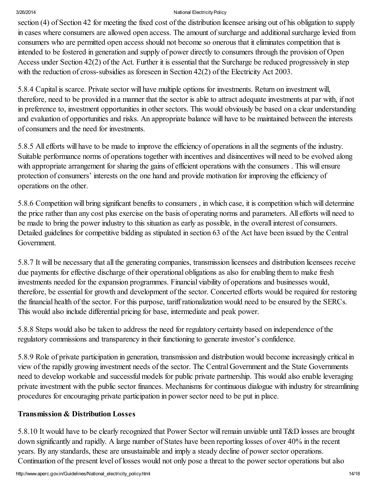section (4) of Section 42 for meeting the fixed cost of the distribution licensee arising out of his obligation to supply in cases where consumers are allowed open access. The amount of surcharge and additional surcharge levied from consumers who are permitted open access should not become so onerous that it eliminates competition that is intended to be fostered in generation and supply of power directly to consumers through the provision of Open Access under Section 42(2) of the Act. Further it is essential that the Surcharge be reduced progressively in step with the reduction of cross-subsidies as foreseen in Section 42(2) of the Electricity Act 2003.

5.8.4 Capital is scarce. Private sector will have multiple options for investments. Return on investment will, therefore, need to be provided in a manner that the sector is able to attract adequate investments at par with, if not in preference to, investment opportunities in other sectors. This would obviously be based on a clear understanding and evaluation of opportunities and risks. An appropriate balance will have to be maintained between the interests of consumers and the need for investments.

5.8.5 All efforts will have to be made to improve the efficiency of operations in all the segments of the industry. Suitable performance norms of operations together with incentives and disincentives will need to be evolved along with appropriate arrangement for sharing the gains of efficient operations with the consumers. This will ensure protection of consumers' interests on the one hand and provide motivation for improving the efficiency of operations on the other.

5.8.6 Competition will bring significant benefits to consumers , in which case, it is competition which will determine the price rather than any cost plus exercise on the basis of operating norms and parameters. All efforts will need to be made to bring the power industry to this situation as early as possible, in the overall interest of consumers. Detailed guidelines for competitive bidding as stipulated in section 63 of the Act have been issued by the Central Government.

5.8.7 It will be necessary that all the generating companies, transmission licensees and distribution licensees receive due payments for effective discharge of their operational obligations as also for enabling them to make fresh investments needed for the expansion programmes. Financial viability of operations and businesses would, therefore, be essential for growth and development of the sector. Concerted efforts would be required for restoring the financial health of the sector. For this purpose, tariff rationalization would need to be ensured by the SERCs. This would also include differential pricing for base, intermediate and peak power.

5.8.8 Steps would also be taken to address the need for regulatory certainty based on independence of the regulatory commissions and transparency in their functioning to generate investor's confidence.

5.8.9 Role of private participation in generation, transmission and distribution would become increasingly critical in view of the rapidly growing investment needs of the sector. The Central Government and the State Governments need to develop workable and successful models for public private partnership. This would also enable leveraging private investment with the public sector finances. Mechanisms for continuous dialogue with industry for streamlining procedures for encouraging private participation in power sector need to be put in place.

## Transmission & Distribution Losses

5.8.10 It would have to be clearly recognized that Power Sector willremain unviable until T&D losses are brought down significantly and rapidly. A large number of States have been reporting losses of over 40% in the recent years. By any standards, these are unsustainable and imply a steady decline of power sector operations. Continuation of the present level of losses would not only pose a threat to the power sector operations but also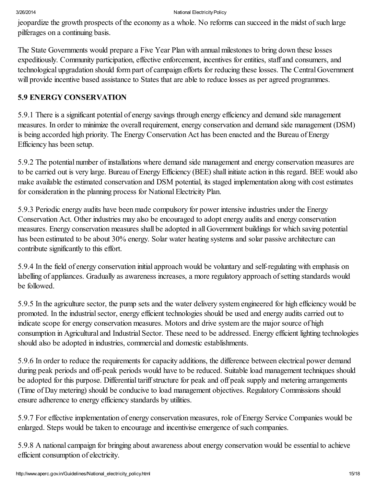jeopardize the growth prospects of the economy as a whole. No reforms can succeed in the midst of such large pilferages on a continuing basis.

The State Governments would prepare a Five Year Plan with annual milestones to bring down these losses expeditiously. Community participation, effective enforcement, incentives for entities, staff and consumers, and technological upgradation should form part of campaign efforts for reducing these losses. The Central Government will provide incentive based assistance to States that are able to reduce losses as per agreed programmes.

## 5.9 ENERGY CONSERVATION

5.9.1 There is a significant potential of energy savings through energy efficiency and demand side management measures. In order to minimize the overall requirement, energy conservation and demand side management (DSM) is being accorded high priority. The Energy Conservation Act has been enacted and the Bureau of Energy Efficiency has been setup.

5.9.2 The potential number of installations where demand side management and energy conservation measures are to be carried out is very large. Bureau of Energy Efficiency (BEE) shall initiate action in this regard. BEE would also make available the estimated conservation and DSM potential, its staged implementation along with cost estimates for consideration in the planning process for National Electricity Plan.

5.9.3 Periodic energy audits have been made compulsory for power intensive industries under the Energy Conservation Act. Other industries may also be encouraged to adopt energy audits and energy conservation measures. Energy conservation measures shall be adopted in all Government buildings for which saving potential has been estimated to be about 30% energy. Solar water heating systems and solar passive architecture can contribute significantly to this effort.

5.9.4 In the field of energy conservation initial approach would be voluntary and self-regulating with emphasis on labelling of appliances. Gradually as awareness increases, a more regulatory approach of setting standards would be followed.

5.9.5 In the agriculture sector, the pump sets and the water delivery system engineered for high efficiency would be promoted. In the industrial sector, energy efficient technologies should be used and energy audits carried out to indicate scope for energy conservation measures. Motors and drive system are the major source of high consumption in Agricultural and Industrial Sector. These need to be addressed. Energy efficient lighting technologies should also be adopted in industries, commercial and domestic establishments.

5.9.6 In order to reduce the requirements for capacity additions, the difference between electrical power demand during peak periods and off-peak periods would have to be reduced. Suitable load management techniques should be adopted for this purpose. Differential tariff structure for peak and off peak supply and metering arrangements (Time of Day metering) should be conducive to load management objectives. Regulatory Commissions should ensure adherence to energy efficiency standards by utilities.

5.9.7 For effective implementation of energy conservation measures, role of Energy Service Companies would be enlarged. Steps would be taken to encourage and incentivise emergence of such companies.

5.9.8 A national campaign for bringing about awareness about energy conservation would be essential to achieve efficient consumption of electricity.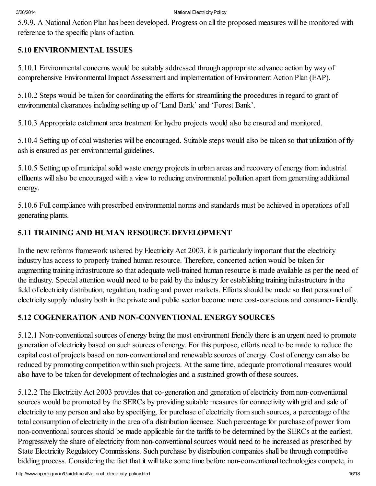5.9.9. A National Action Plan has been developed. Progress on all the proposed measures will be monitored with reference to the specific plans of action.

## 5.10 ENVIRONMENTAL ISSUES

5.10.1 Environmental concerns would be suitably addressed through appropriate advance action by way of comprehensive EnvironmentalImpact Assessment and implementation of Environment Action Plan (EAP).

5.10.2 Steps would be taken for coordinating the efforts for streamlining the procedures in regard to grant of environmental clearances including setting up of 'Land Bank' and 'Forest Bank'.

5.10.3 Appropriate catchment area treatment for hydro projects would also be ensured and monitored.

5.10.4 Setting up of coal washeries will be encouraged. Suitable steps would also be taken so that utilization of fly ash is ensured as per environmental guidelines.

5.10.5 Setting up of municipalsolid waste energy projects in urban areas and recovery of energy from industrial effluents will also be encouraged with a view to reducing environmental pollution apart from generating additional energy.

5.10.6 Full compliance with prescribed environmental norms and standards must be achieved in operations of all generating plants.

# 5.11 TRAINING AND HUMAN RESOURCE DEVELOPMENT

In the new reforms framework ushered by Electricity Act 2003, it is particularly important that the electricity industry has access to properly trained human resource. Therefore, concerted action would be taken for augmenting training infrastructure so that adequate well-trained human resource is made available as per the need of the industry. Special attention would need to be paid by the industry for establishing training infrastructure in the field of electricity distribution, regulation, trading and power markets. Efforts should be made so that personnel of electricity supply industry both in the private and public sector become more cost-conscious and consumer-friendly.

# 5.12 COGENERATION AND NON-CONVENTIONAL ENERGY SOURCES

5.12.1 Non-conventional sources of energy being the most environment friendly there is an urgent need to promote generation of electricity based on such sources of energy. For this purpose, efforts need to be made to reduce the capital cost of projects based on non-conventional and renewable sources of energy. Cost of energy can also be reduced by promoting competition within such projects. At the same time, adequate promotional measures would also have to be taken for development of technologies and a sustained growth of these sources.

5.12.2 The Electricity Act 2003 provides that co-generation and generation of electricity from non-conventional sources would be promoted by the SERCs by providing suitable measures for connectivity with grid and sale of electricity to any person and also by specifying, for purchase of electricity from such sources, a percentage of the total consumption of electricity in the area of a distribution licensee. Such percentage for purchase of power from non-conventional sources should be made applicable for the tariffs to be determined by the SERCs at the earliest. Progressively the share of electricity from non-conventional sources would need to be increased as prescribed by State Electricity Regulatory Commissions. Such purchase by distribution companies shall be through competitive bidding process. Considering the fact that it will take some time before non-conventional technologies compete, in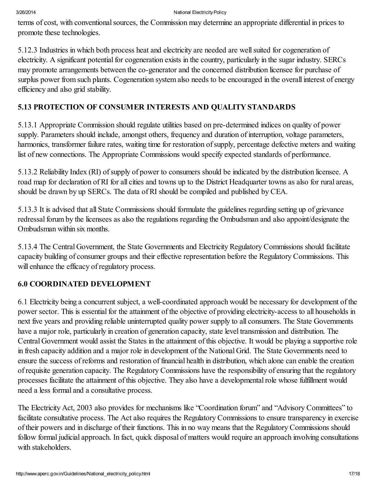terms of cost, with conventional sources, the Commission may determine an appropriate differential in prices to promote these technologies.

5.12.3 Industries in which both process heat and electricity are needed are wellsuited for cogeneration of electricity. A significant potential for cogeneration exists in the country, particularly in the sugar industry. SERCs may promote arrangements between the co-generator and the concerned distribution licensee for purchase of surplus power from such plants. Cogeneration system also needs to be encouraged in the overall interest of energy efficiency and also grid stability.

## 5.13 PROTECTION OF CONSUMER INTERESTS AND QUALITY STANDARDS

5.13.1 Appropriate Commission should regulate utilities based on pre-determined indices on quality of power supply. Parameters should include, amongst others, frequency and duration of interruption, voltage parameters, harmonics, transformer failure rates, waiting time for restoration of supply, percentage defective meters and waiting list of new connections. The Appropriate Commissions would specify expected standards of performance.

5.13.2 Reliability Index (RI) of supply of power to consumers should be indicated by the distribution licensee. A road map for declaration of RI for all cities and towns up to the District Headquarter towns as also for rural areas, should be drawn by up SERCs. The data of RI should be compiled and published by CEA.

5.13.3 It is advised that all State Commissions should formulate the guidelines regarding setting up of grievance redressal forum by the licensees as also the regulations regarding the Ombudsman and also appoint/designate the Ombudsman within six months.

5.13.4 The Central Government, the State Governments and Electricity Regulatory Commissions should facilitate capacity building of consumer groups and their effective representation before the Regulatory Commissions. This will enhance the efficacy of regulatory process.

# 6.0 COORDINATED DEVELOPMENT

6.1 Electricity being a concurrent subject, a well-coordinated approach would be necessary for development of the power sector. This is essential for the attainment of the objective of providing electricity-access to all households in next five years and providing reliable uninterrupted quality power supply to all consumers. The State Governments have a major role, particularly in creation of generation capacity, state level transmission and distribution. The Central Government would assist the States in the attainment of this objective. It would be playing a supportive role in fresh capacity addition and a major role in development of the National Grid. The State Governments need to ensure the success of reforms and restoration of financial health in distribution, which alone can enable the creation of requisite generation capacity. The Regulatory Commissions have the responsibility of ensuring that the regulatory processes facilitate the attainment of this objective. They also have a developmental role whose fulfillment would need a less formal and a consultative process.

The Electricity Act, 2003 also provides for mechanisms like "Coordination forum" and "Advisory Committees" to facilitate consultative process. The Act also requires the Regulatory Commissions to ensure transparency in exercise of their powers and in discharge of their functions. This in no way means that the Regulatory Commissions should follow formal judicial approach. In fact, quick disposal of matters would require an approach involving consultations with stakeholders.